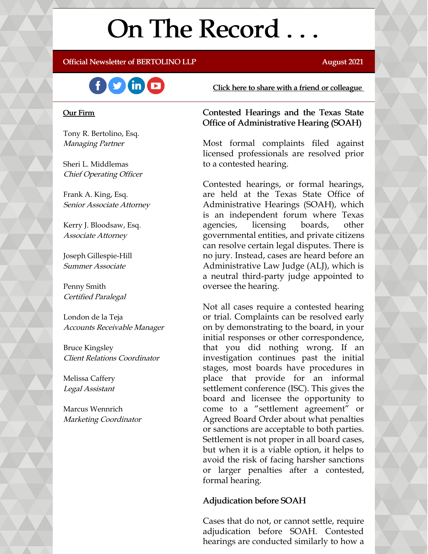# On The Record . . .

#### Official Newsletter of BERTOLINO LLP **August 2021**



#### Our Firm

Tony R. Bertolino, Esq. Managing Partner

Sheri L. Middlemas Chief Operating Officer

Frank A. King, Esq. Senior Associate Attorney

Kerry J. Bloodsaw, Esq. Associate Attorney

Joseph Gillespie-Hill Summer Associate

Penny Smith Certified Paralegal

London de la Teja Accounts Receivable Manager

Bruce Kingsley Client Relations Coordinator

Melissa Caffery Legal Assistant

Marcus Wennrich Marketing Coordinator Click here to share with a friend or [colleague](https://visitor.r20.constantcontact.com/manage/optin?v=001xvcZBIZGArRYZxP_ENhTFsnPqgcrAHF_8FAGh0C6OoU_TYzgqPeo9kiI5F5Vb-xdZP7jClYZWX2ttQp6Q7JygJ1sq0DH9MDHJwjzNoREDc4=)

#### Contested Hearings and the Texas State Office of Administrative Hearing (SOAH)

Most formal complaints filed against licensed professionals are resolved prior to a contested hearing.

Contested hearings, or formal hearings, are held at the Texas State Office of Administrative Hearings (SOAH), which is an independent forum where Texas agencies, licensing boards, other governmental entities, and private citizens can resolve certain legal disputes. There is no jury. Instead, cases are heard before an Administrative Law Judge (ALJ), which is a neutral third-party judge appointed to oversee the hearing.

Not all cases require a contested hearing or trial. Complaints can be resolved early on by demonstrating to the board, in your initial responses or other correspondence, that you did nothing wrong. If an investigation continues past the initial stages, most boards have procedures in place that provide for an informal settlement conference (ISC). This gives the board and licensee the opportunity to come to a "settlement agreement" or Agreed Board Order about what penalties or sanctions are acceptable to both parties. Settlement is not proper in all board cases, but when it is a viable option, it helps to avoid the risk of facing harsher sanctions or larger penalties after a contested, formal hearing.

#### Adjudication before SOAH

Cases that do not, or cannot settle, require adjudication before SOAH. Contested hearings are conducted similarly to how a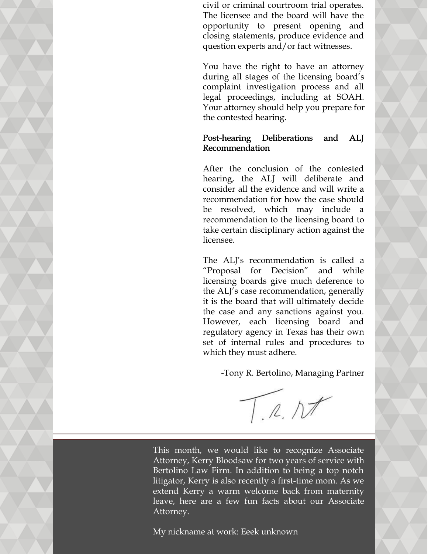civil or criminal courtroom trial operates. The licensee and the board will have the opportunity to present opening and closing statements, produce evidence and question experts and/or fact witnesses.

You have the right to have an attorney during all stages of the licensing board's complaint investigation process and all legal proceedings, including at SOAH. Your attorney should help you prepare for the contested hearing.

#### Post-hearing Deliberations and ALJ Recommendation

After the conclusion of the contested hearing, the ALJ will deliberate and consider all the evidence and will write a recommendation for how the case should be resolved, which may include a recommendation to the licensing board to take certain disciplinary action against the licensee.

The ALJ's recommendation is called a "Proposal for Decision" and while licensing boards give much deference to the ALJ's case recommendation, generally it is the board that will ultimately decide the case and any sanctions against you. However, each licensing board and regulatory agency in Texas has their own set of internal rules and procedures to which they must adhere.

-Tony R. Bertolino, Managing Partner

T.R.NT

This month, we would like to recognize Associate Attorney, Kerry Bloodsaw for two years of service with Bertolino Law Firm. In addition to being a top notch litigator, Kerry is also recently a first-time mom. As we extend Kerry a warm welcome back from maternity leave, here are a few fun facts about our Associate Attorney.

My nickname at work: Eeek unknown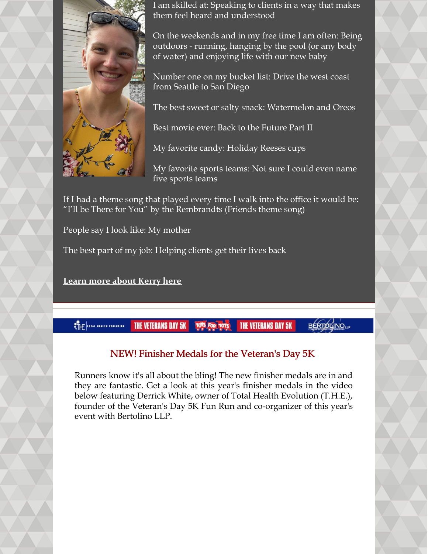

I am skilled at: Speaking to clients in a way that makes them feel heard and understood

On the weekends and in my free time I am often: Being outdoors - running, hanging by the pool (or any body of water) and enjoying life with our new baby

Number one on my bucket list: Drive the west coast from Seattle to San Diego

The best sweet or salty snack: Watermelon and Oreos

Best movie ever: Back to the Future Part II

My favorite candy: Holiday Reeses cups

My favorite sports teams: Not sure I could even name five sports teams

If I had a theme song that played every time I walk into the office it would be: "I'll be There for You" by the Rembrandts (Friends theme song)

People say I look like: My mother

The best part of my job: Helping clients get their lives back

**Learn more [about](https://www.belolaw.com/our-attorneys/kerry-bloodsaw/) Kerry here**

THE TOTAL NEALTH EVOLUTION THE VETERANS DAY 5K **TOPS FOR TOTS BERTOLINO**<sub>LLP</sub> THE VETERANS DAY 5K

## NEW! Finisher Medals for the Veteran's Day 5K

Runners know it's all about the bling! The new finisher medals are in and they are fantastic. Get a look at this year's finisher medals in the video below featuring Derrick White, owner of Total Health Evolution (T.H.E.), founder of the Veteran's Day 5K Fun Run and co-organizer of this year's event with Bertolino LLP.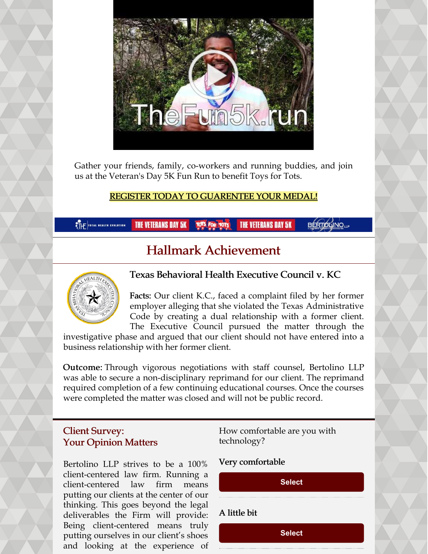

Gather your friends, family, co-workers and running buddies, and join us at the Veteran's Day 5K Fun Run to benefit Toys for Tots.

#### REGISTER TODAY TO [GUARENTEE](https://thefun5k.run/) YOUR MEDAL!

**BERTOLINO**LLP **CTHE TOTAL NEALTH EVOLUTION THE VETERANS DAY 5K THE VETERANS DAY 5K TOTS FOR TOTS** 

# Hallmark Achievement



#### Texas Behavioral Health Executive Council v. KC

Facts: Our client K.C., faced a complaint filed by her former employer alleging that she violated the Texas Administrative Code by creating a dual relationship with a former client. The Executive Council pursued the matter through the

investigative phase and argued that our client should not have entered into a business relationship with her former client.

Outcome: Through vigorous negotiations with staff counsel, Bertolino LLP was able to secure a non-disciplinary reprimand for our client. The reprimand required completion of a few continuing educational courses. Once the courses were completed the matter was closed and will not be public record.

#### Client Survey: Your Opinion Matters

Bertolino LLP strives to be a 100% client-centered law firm. Running a client-centered law firm means putting our clients at the center of our thinking. This goes beyond the legal deliverables the Firm will provide: Being client-centered means truly putting ourselves in our client's shoes and looking at the experience of

How comfortable are you with technology?

#### Very comfortable

**[Select](https://campaignlp.constantcontact.com/forms/response?id=8MTVuLZxdx2tqY6ViR4pGQ2t9mHnmSeJOvNVsNnrDLGHchFzcqATw_z9EfzL7SUKMeBRYCnDzDoUXHf37bANrQ4kDC7grxRMhVF_y-S7jD__8KXrCbYMda52Qzzs14iO3FS2SIBY6ChbJK9oOCkFd9kY3RQM0YIEHmsBj0GBo6ExAmYjg7j9lsT72jsubEJhuzWk_BooTyXFYMefTsr-aw&encVer=1&c=&ch=)** A little bit **[Select](https://campaignlp.constantcontact.com/forms/response?id=8MTVuLZxdx2tqY6ViR4pGQ2t9mHnmSeJOvNVsNnrDLGHchFzcqATw_z9EfzL7SUKMeBRYCnDzDoUXHf37bANrQ4kDC7grxRMhVF_y-S7jD__8KXrCbYMda52Qzzs14iO3FS2SIBY6ChbJK9oOCkFd9kY3RQM0YIEHmsBj0GBo6ExAmYjg7j9lsT72jsubEJhuzWk_BooTyXXN6S9LkQxSg&encVer=1&c=&ch=)**